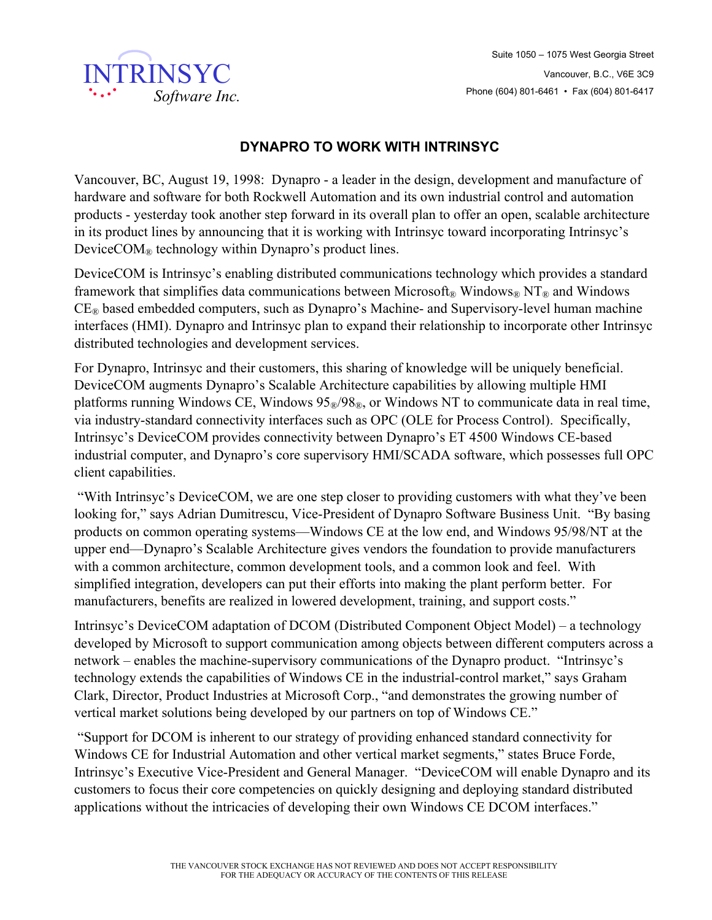

## **DYNAPRO TO WORK WITH INTRINSYC**

Vancouver, BC, August 19, 1998: Dynapro - a leader in the design, development and manufacture of hardware and software for both Rockwell Automation and its own industrial control and automation products - yesterday took another step forward in its overall plan to offer an open, scalable architecture in its product lines by announcing that it is working with Intrinsyc toward incorporating Intrinsyc's Device $COM_{\mathcal{R}}$  technology within Dynapro's product lines.

DeviceCOM is Intrinsyc's enabling distributed communications technology which provides a standard framework that simplifies data communications between Microsoft<sup>®</sup> Windows<sup>®</sup> NT<sup>®</sup> and Windows  $CE<sub>®</sub>$  based embedded computers, such as Dynapro's Machine- and Supervisory-level human machine interfaces (HMI). Dynapro and Intrinsyc plan to expand their relationship to incorporate other Intrinsyc distributed technologies and development services.

For Dynapro, Intrinsyc and their customers, this sharing of knowledge will be uniquely beneficial. DeviceCOM augments Dynapro's Scalable Architecture capabilities by allowing multiple HMI platforms running Windows CE, Windows  $95\% / 98\%$ , or Windows NT to communicate data in real time, via industry-standard connectivity interfaces such as OPC (OLE for Process Control). Specifically, Intrinsyc's DeviceCOM provides connectivity between Dynapro's ET 4500 Windows CE-based industrial computer, and Dynapro's core supervisory HMI/SCADA software, which possesses full OPC client capabilities.

 "With Intrinsyc's DeviceCOM, we are one step closer to providing customers with what they've been looking for," says Adrian Dumitrescu, Vice-President of Dynapro Software Business Unit. "By basing products on common operating systems—Windows CE at the low end, and Windows 95/98/NT at the upper end—Dynapro's Scalable Architecture gives vendors the foundation to provide manufacturers with a common architecture, common development tools, and a common look and feel. With simplified integration, developers can put their efforts into making the plant perform better. For manufacturers, benefits are realized in lowered development, training, and support costs."

Intrinsyc's DeviceCOM adaptation of DCOM (Distributed Component Object Model) – a technology developed by Microsoft to support communication among objects between different computers across a network – enables the machine-supervisory communications of the Dynapro product. "Intrinsyc's technology extends the capabilities of Windows CE in the industrial-control market," says Graham Clark, Director, Product Industries at Microsoft Corp., "and demonstrates the growing number of vertical market solutions being developed by our partners on top of Windows CE."

 "Support for DCOM is inherent to our strategy of providing enhanced standard connectivity for Windows CE for Industrial Automation and other vertical market segments," states Bruce Forde, Intrinsyc's Executive Vice-President and General Manager. "DeviceCOM will enable Dynapro and its customers to focus their core competencies on quickly designing and deploying standard distributed applications without the intricacies of developing their own Windows CE DCOM interfaces."